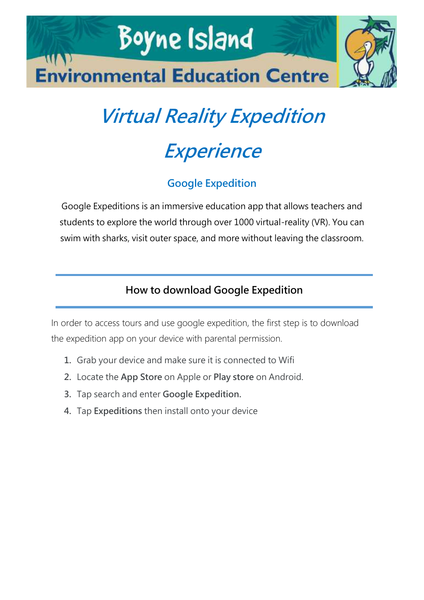

# **Virtual Reality Expedition**

## **Experience**

### **Google Expedition**

Google Expeditions is an immersive education app that allows teachers and students to explore the world through over 1000 virtual-reality (VR). You can swim with sharks, visit outer space, and more without leaving the classroom.

#### **How to download Google Expedition**

In order to access tours and use google expedition, the first step is to download the expedition app on your device with parental permission.

- **1.** Grab your device and make sure it is connected to Wifi
- **2.** Locate the **App Store** on Apple or **Play store** on Android.
- **3.** Tap search and enter **Google Expedition.**
- **4.** Tap **Expeditions** then install onto your device